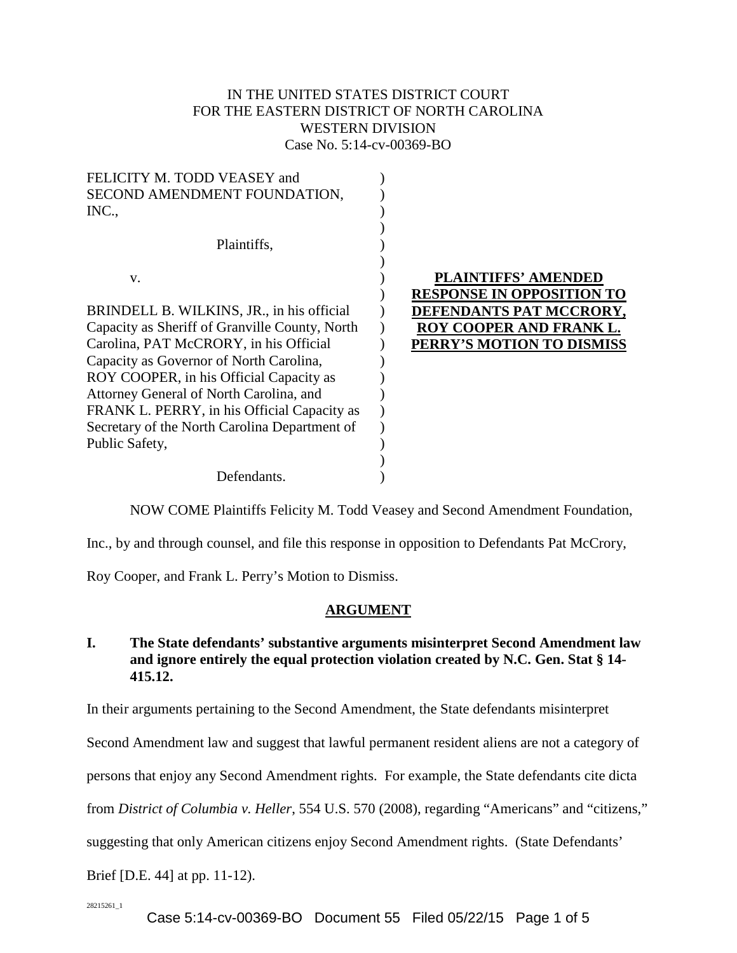# IN THE UNITED STATES DISTRICT COURT FOR THE EASTERN DISTRICT OF NORTH CAROLINA WESTERN DIVISION Case No. 5:14-cv-00369-BO

| FELICITY M. TODD VEASEY and                    |                                  |
|------------------------------------------------|----------------------------------|
| SECOND AMENDMENT FOUNDATION,                   |                                  |
| INC.,                                          |                                  |
|                                                |                                  |
| Plaintiffs,                                    |                                  |
|                                                |                                  |
| V.                                             | <b>PLAINTIFFS' AMENDED</b>       |
|                                                | <b>RESPONSE IN OPPOSITION TO</b> |
| BRINDELL B. WILKINS, JR., in his official      | <b>DEFENDANTS PAT MCCRORY.</b>   |
| Capacity as Sheriff of Granville County, North | ROY COOPER AND FRANK L.          |
| Carolina, PAT McCRORY, in his Official         | PERRY'S MOTION TO DISMISS        |
| Capacity as Governor of North Carolina,        |                                  |
| ROY COOPER, in his Official Capacity as        |                                  |
| Attorney General of North Carolina, and        |                                  |
| FRANK L. PERRY, in his Official Capacity as    |                                  |
| Secretary of the North Carolina Department of  |                                  |
| Public Safety,                                 |                                  |
|                                                |                                  |
|                                                |                                  |
| Defendants.                                    |                                  |

NOW COME Plaintiffs Felicity M. Todd Veasey and Second Amendment Foundation,

Inc., by and through counsel, and file this response in opposition to Defendants Pat McCrory,

Roy Cooper, and Frank L. Perry's Motion to Dismiss.

## **ARGUMENT**

## **I. The State defendants' substantive arguments misinterpret Second Amendment law and ignore entirely the equal protection violation created by N.C. Gen. Stat § 14- 415.12.**

In their arguments pertaining to the Second Amendment, the State defendants misinterpret

Second Amendment law and suggest that lawful permanent resident aliens are not a category of

persons that enjoy any Second Amendment rights. For example, the State defendants cite dicta

from *District of Columbia v. Heller*, 554 U.S. 570 (2008), regarding "Americans" and "citizens,"

suggesting that only American citizens enjoy Second Amendment rights. (State Defendants'

Brief [D.E. 44] at pp. 11-12).

28215261\_1

Case 5:14-cv-00369-BO Document 55 Filed 05/22/15 Page 1 of 5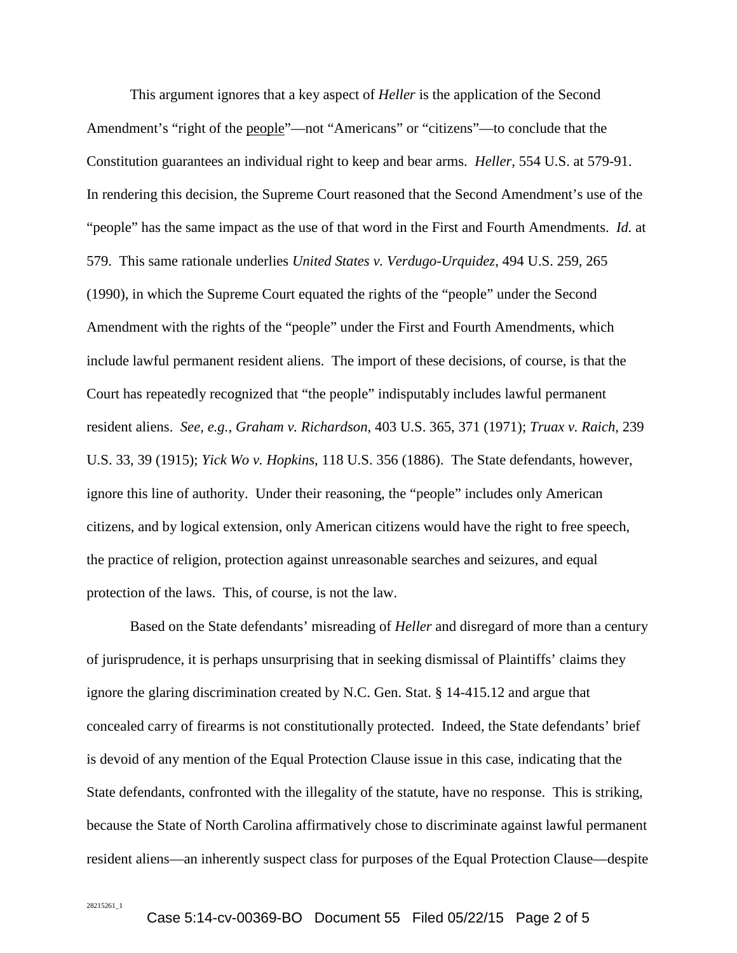This argument ignores that a key aspect of *Heller* is the application of the Second Amendment's "right of the people"—not "Americans" or "citizens"—to conclude that the Constitution guarantees an individual right to keep and bear arms. *Heller,* 554 U.S. at 579-91. In rendering this decision, the Supreme Court reasoned that the Second Amendment's use of the "people" has the same impact as the use of that word in the First and Fourth Amendments. *Id.* at 579. This same rationale underlies *United States v. Verdugo-Urquidez*, 494 U.S. 259, 265 (1990), in which the Supreme Court equated the rights of the "people" under the Second Amendment with the rights of the "people" under the First and Fourth Amendments, which include lawful permanent resident aliens. The import of these decisions, of course, is that the Court has repeatedly recognized that "the people" indisputably includes lawful permanent resident aliens. *See, e.g.*, *Graham v. Richardson*, 403 U.S. 365, 371 (1971); *Truax v. Raich*, 239 U.S. 33, 39 (1915); *Yick Wo v. Hopkins*, 118 U.S. 356 (1886). The State defendants, however, ignore this line of authority. Under their reasoning, the "people" includes only American citizens, and by logical extension, only American citizens would have the right to free speech, the practice of religion, protection against unreasonable searches and seizures, and equal protection of the laws. This, of course, is not the law.

Based on the State defendants' misreading of *Heller* and disregard of more than a century of jurisprudence, it is perhaps unsurprising that in seeking dismissal of Plaintiffs' claims they ignore the glaring discrimination created by N.C. Gen. Stat. § 14-415.12 and argue that concealed carry of firearms is not constitutionally protected. Indeed, the State defendants' brief is devoid of any mention of the Equal Protection Clause issue in this case, indicating that the State defendants, confronted with the illegality of the statute, have no response. This is striking, because the State of North Carolina affirmatively chose to discriminate against lawful permanent resident aliens—an inherently suspect class for purposes of the Equal Protection Clause—despite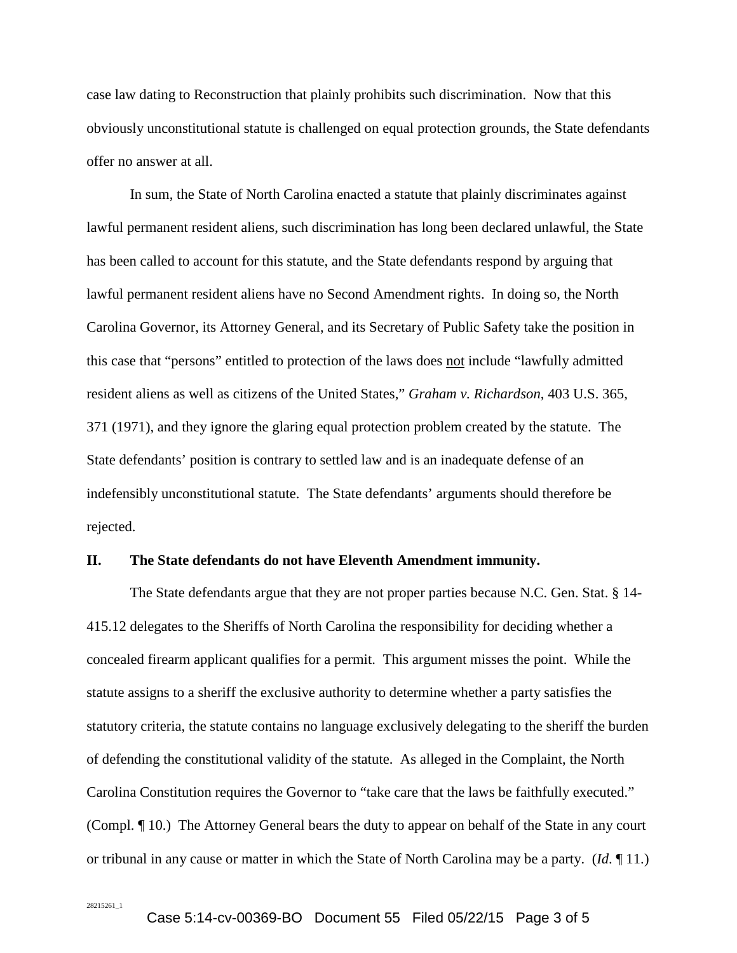case law dating to Reconstruction that plainly prohibits such discrimination. Now that this obviously unconstitutional statute is challenged on equal protection grounds, the State defendants offer no answer at all.

In sum, the State of North Carolina enacted a statute that plainly discriminates against lawful permanent resident aliens, such discrimination has long been declared unlawful, the State has been called to account for this statute, and the State defendants respond by arguing that lawful permanent resident aliens have no Second Amendment rights. In doing so, the North Carolina Governor, its Attorney General, and its Secretary of Public Safety take the position in this case that "persons" entitled to protection of the laws does not include "lawfully admitted resident aliens as well as citizens of the United States," *Graham v. Richardson*, 403 U.S. 365, 371 (1971), and they ignore the glaring equal protection problem created by the statute. The State defendants' position is contrary to settled law and is an inadequate defense of an indefensibly unconstitutional statute. The State defendants' arguments should therefore be rejected.

#### **II. The State defendants do not have Eleventh Amendment immunity.**

The State defendants argue that they are not proper parties because N.C. Gen. Stat. § 14- 415.12 delegates to the Sheriffs of North Carolina the responsibility for deciding whether a concealed firearm applicant qualifies for a permit. This argument misses the point. While the statute assigns to a sheriff the exclusive authority to determine whether a party satisfies the statutory criteria, the statute contains no language exclusively delegating to the sheriff the burden of defending the constitutional validity of the statute. As alleged in the Complaint, the North Carolina Constitution requires the Governor to "take care that the laws be faithfully executed." (Compl. ¶ 10.) The Attorney General bears the duty to appear on behalf of the State in any court or tribunal in any cause or matter in which the State of North Carolina may be a party. (*Id*. ¶ 11.)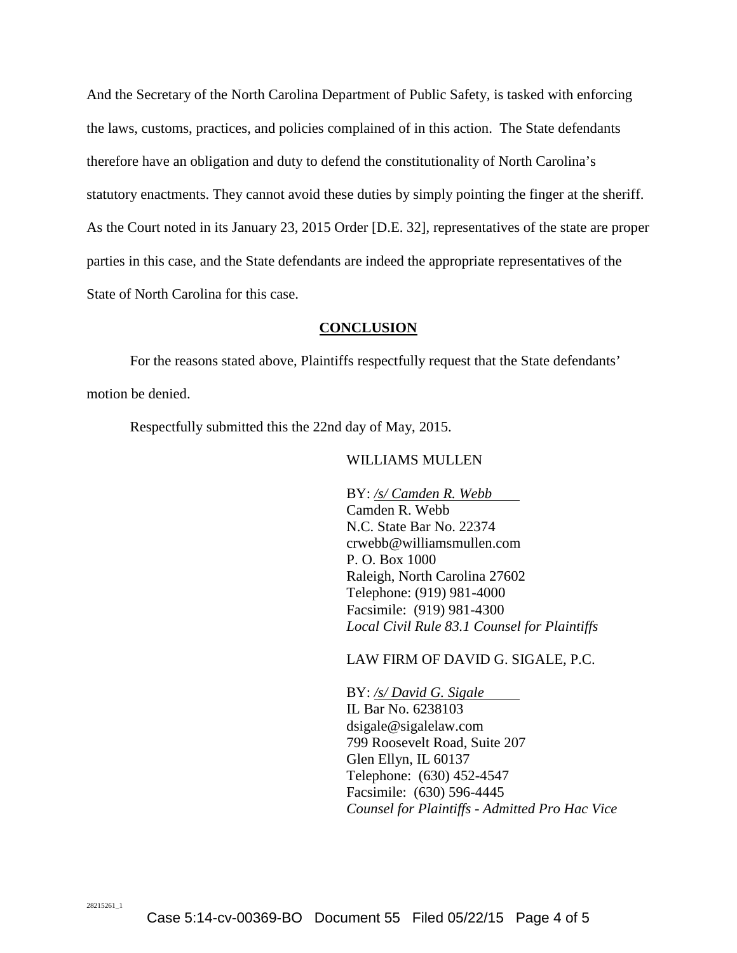And the Secretary of the North Carolina Department of Public Safety, is tasked with enforcing the laws, customs, practices, and policies complained of in this action. The State defendants therefore have an obligation and duty to defend the constitutionality of North Carolina's statutory enactments. They cannot avoid these duties by simply pointing the finger at the sheriff. As the Court noted in its January 23, 2015 Order [D.E. 32], representatives of the state are proper parties in this case, and the State defendants are indeed the appropriate representatives of the State of North Carolina for this case.

### **CONCLUSION**

For the reasons stated above, Plaintiffs respectfully request that the State defendants' motion be denied.

Respectfully submitted this the 22nd day of May, 2015.

### WILLIAMS MULLEN

BY: */s/ Camden R. Webb* Camden R. Webb N.C. State Bar No. 22374 crwebb@williamsmullen.com P. O. Box 1000 Raleigh, North Carolina 27602 Telephone: (919) 981-4000 Facsimile: (919) 981-4300 *Local Civil Rule 83.1 Counsel for Plaintiffs*

### LAW FIRM OF DAVID G. SIGALE, P.C.

BY: */s/ David G. Sigale* IL Bar No. 6238103 dsigale@sigalelaw.com 799 Roosevelt Road, Suite 207 Glen Ellyn, IL 60137 Telephone: (630) 452-4547 Facsimile: (630) 596-4445 *Counsel for Plaintiffs - Admitted Pro Hac Vice*